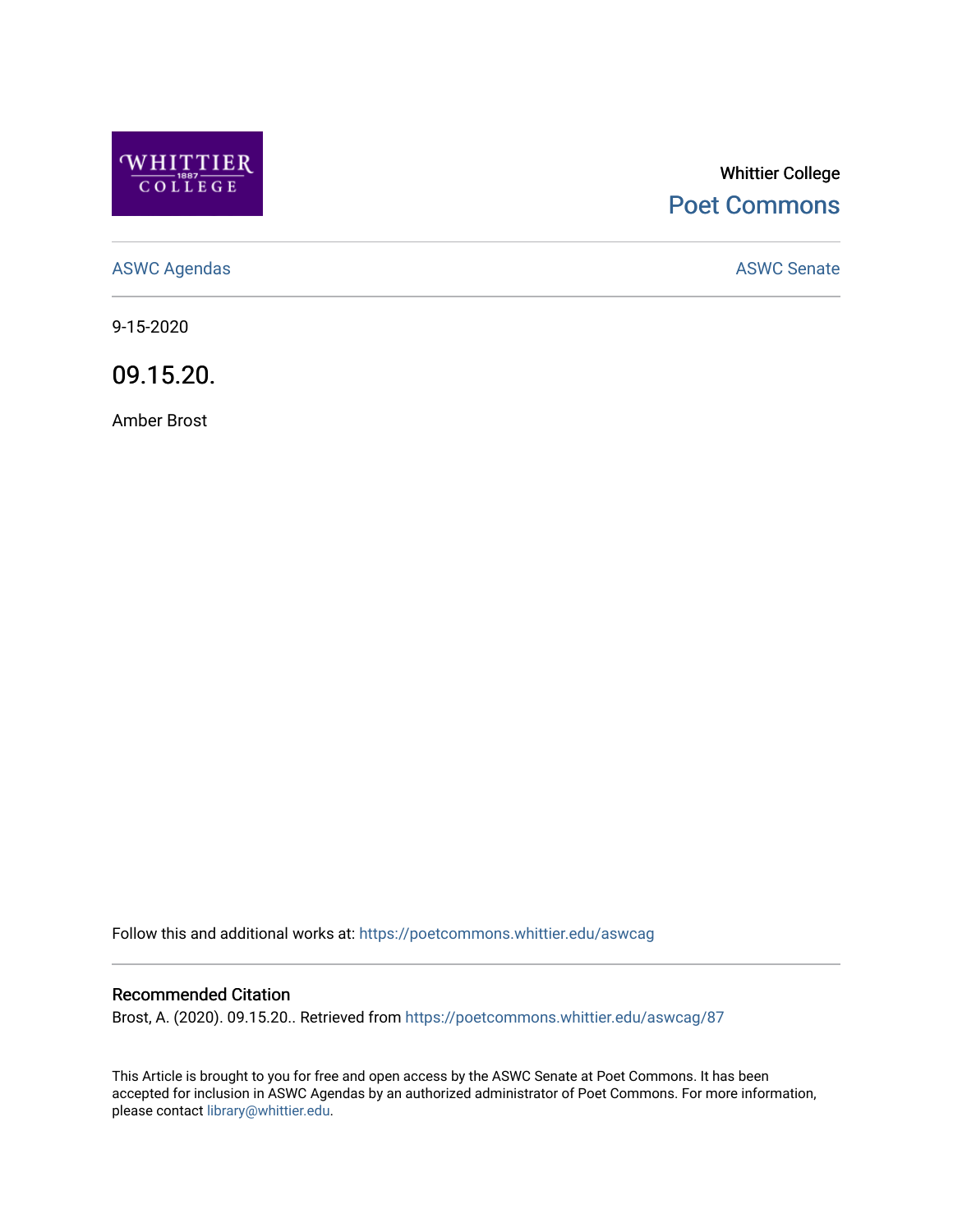

# Whittier College [Poet Commons](https://poetcommons.whittier.edu/)

[ASWC Agendas](https://poetcommons.whittier.edu/aswcag) **ASWC Senate** 

9-15-2020

09.15.20.

Amber Brost

Follow this and additional works at: [https://poetcommons.whittier.edu/aswcag](https://poetcommons.whittier.edu/aswcag?utm_source=poetcommons.whittier.edu%2Faswcag%2F87&utm_medium=PDF&utm_campaign=PDFCoverPages) 

# Recommended Citation

Brost, A. (2020). 09.15.20.. Retrieved from [https://poetcommons.whittier.edu/aswcag/87](https://poetcommons.whittier.edu/aswcag/87?utm_source=poetcommons.whittier.edu%2Faswcag%2F87&utm_medium=PDF&utm_campaign=PDFCoverPages) 

This Article is brought to you for free and open access by the ASWC Senate at Poet Commons. It has been accepted for inclusion in ASWC Agendas by an authorized administrator of Poet Commons. For more information, please contact [library@whittier.edu](mailto:library@whittier.edu).